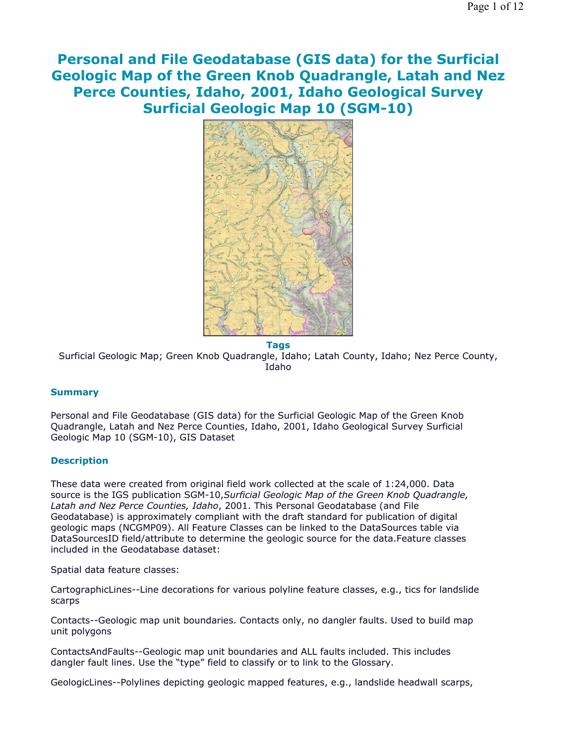**Personal and File Geodatabase (GIS data) for the Surficial Geologic Map of the Green Knob Quadrangle, Latah and Nez Perce Counties, Idaho, 2001, Idaho Geological Survey Surficial Geologic Map 10 (SGM-10)**



**Tags** Surficial Geologic Map; Green Knob Quadrangle, Idaho; Latah County, Idaho; Nez Perce County, Idaho

# **Summary**

Personal and File Geodatabase (GIS data) for the Surficial Geologic Map of the Green Knob Quadrangle, Latah and Nez Perce Counties, Idaho, 2001, Idaho Geological Survey Surficial Geologic Map 10 (SGM-10), GIS Dataset

# **Description**

These data were created from original field work collected at the scale of 1:24,000. Data source is the IGS publication SGM-10,*Surficial Geologic Map of the Green Knob Quadrangle, Latah and Nez Perce Counties, Idaho*, 2001. This Personal Geodatabase (and File Geodatabase) is approximately compliant with the draft standard for publication of digital geologic maps (NCGMP09). All Feature Classes can be linked to the DataSources table via DataSourcesID field/attribute to determine the geologic source for the data.Feature classes included in the Geodatabase dataset:

Spatial data feature classes:

CartographicLines--Line decorations for various polyline feature classes, e.g., tics for landslide scarps

Contacts--Geologic map unit boundaries. Contacts only, no dangler faults. Used to build map unit polygons

ContactsAndFaults--Geologic map unit boundaries and ALL faults included. This includes dangler fault lines. Use the "type" field to classify or to link to the Glossary.

GeologicLines--Polylines depicting geologic mapped features, e.g., landslide headwall scarps,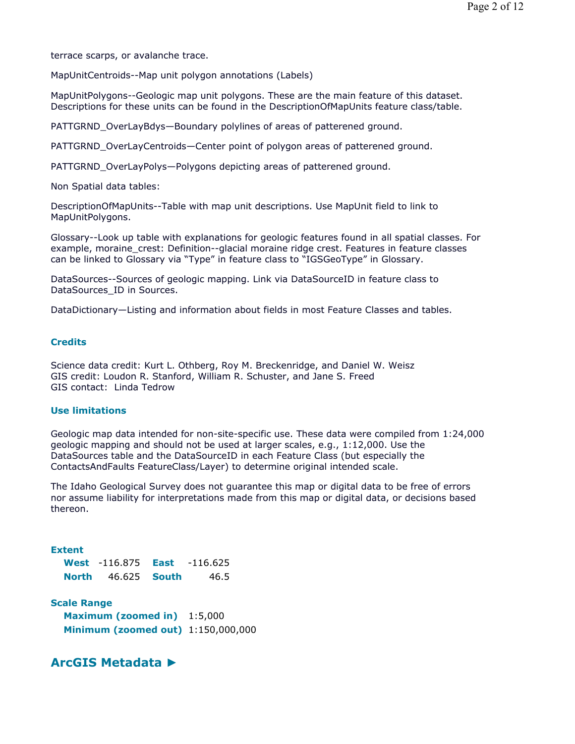terrace scarps, or avalanche trace.

MapUnitCentroids--Map unit polygon annotations (Labels)

MapUnitPolygons--Geologic map unit polygons. These are the main feature of this dataset. Descriptions for these units can be found in the DescriptionOfMapUnits feature class/table.

PATTGRND OverLayBdys—Boundary polylines of areas of patterened ground.

PATTGRND\_OverLayCentroids—Center point of polygon areas of patterened ground.

PATTGRND OverLayPolys—Polygons depicting areas of patterened ground.

Non Spatial data tables:

DescriptionOfMapUnits--Table with map unit descriptions. Use MapUnit field to link to MapUnitPolygons.

Glossary--Look up table with explanations for geologic features found in all spatial classes. For example, moraine crest: Definition--glacial moraine ridge crest. Features in feature classes can be linked to Glossary via "Type" in feature class to "IGSGeoType" in Glossary.

DataSources--Sources of geologic mapping. Link via DataSourceID in feature class to DataSources ID in Sources.

DataDictionary—Listing and information about fields in most Feature Classes and tables.

# **Credits**

Science data credit: Kurt L. Othberg, Roy M. Breckenridge, and Daniel W. Weisz GIS credit: Loudon R. Stanford, William R. Schuster, and Jane S. Freed GIS contact: Linda Tedrow

# **Use limitations**

Geologic map data intended for non-site-specific use. These data were compiled from 1:24,000 geologic mapping and should not be used at larger scales, e.g., 1:12,000. Use the DataSources table and the DataSourceID in each Feature Class (but especially the ContactsAndFaults FeatureClass/Layer) to determine original intended scale.

The Idaho Geological Survey does not guarantee this map or digital data to be free of errors nor assume liability for interpretations made from this map or digital data, or decisions based thereon.

## **Extent**

|              | <b>West</b> $-116.875$ | East | $-116.625$ |
|--------------|------------------------|------|------------|
| <b>North</b> | 46.625 <b>South</b>    |      | 46.5       |

**Scale Range Maximum (zoomed in)** 1:5,000 **Minimum (zoomed out)** 1:150,000,000

# **ArcGIS Metadata ►**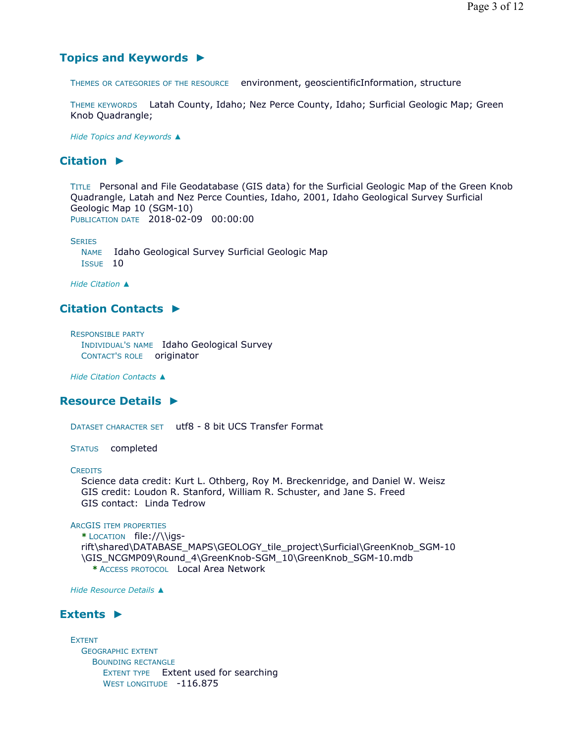# **Topics and Keywords ►**

THEMES OR CATEGORIES OF THE RESOURCE environment, geoscientificInformation, structure

THEME KEYWORDS Latah County, Idaho; Nez Perce County, Idaho; Surficial Geologic Map; Green Knob Quadrangle;

*Hide Topics and Keywords ▲*

# **Citation ►**

TITLE Personal and File Geodatabase (GIS data) for the Surficial Geologic Map of the Green Knob Quadrangle, Latah and Nez Perce Counties, Idaho, 2001, Idaho Geological Survey Surficial Geologic Map 10 (SGM-10) PUBLICATION DATE 2018-02-09 00:00:00

**SERIES** 

NAME Idaho Geological Survey Surficial Geologic Map ISSUE 10

*Hide Citation ▲*

# **Citation Contacts ►**

RESPONSIBLE PARTY INDIVIDUAL'S NAME Idaho Geological Survey CONTACT'S ROLE originator

*Hide Citation Contacts ▲*

# **Resource Details ►**

DATASET CHARACTER SET utf8 - 8 bit UCS Transfer Format

STATUS completed

### **CREDITS**

Science data credit: Kurt L. Othberg, Roy M. Breckenridge, and Daniel W. Weisz GIS credit: Loudon R. Stanford, William R. Schuster, and Jane S. Freed GIS contact: Linda Tedrow

## ARCGIS ITEM PROPERTIES

**\*** LOCATION file://\\igsrift\shared\DATABASE\_MAPS\GEOLOGY\_tile\_project\Surficial\GreenKnob\_SGM-10 \GIS\_NCGMP09\Round\_4\GreenKnob-SGM\_10\GreenKnob\_SGM-10.mdb **\*** ACCESS PROTOCOL Local Area Network

*Hide Resource Details ▲*

# **Extents ►**

EXTENT GEOGRAPHIC EXTENT BOUNDING RECTANGLE EXTENT TYPE Extent used for searching WEST LONGITUDE -116.875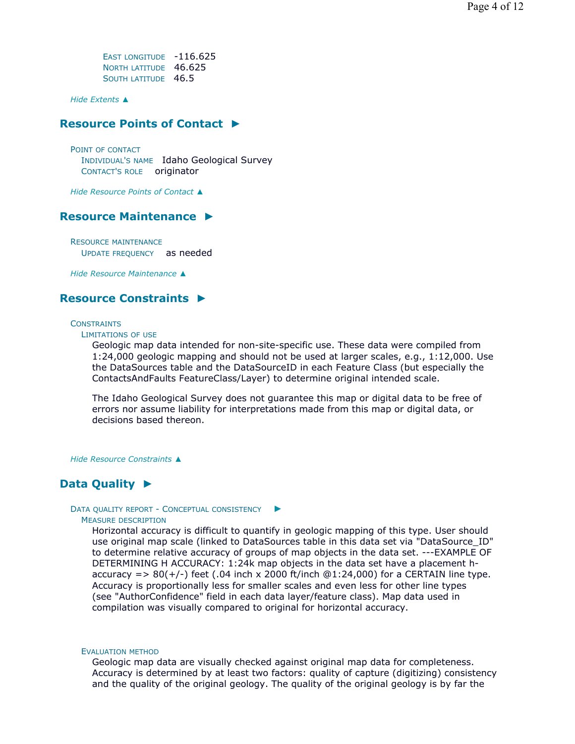EAST LONGITUDE -116.625 NORTH LATITUDE 46.625 SOUTH LATITUDE 46.5

*Hide Extents ▲*

# **Resource Points of Contact ►**

POINT OF CONTACT INDIVIDUAL'S NAME Idaho Geological Survey CONTACT'S ROLE originator

*Hide Resource Points of Contact ▲*

# **Resource Maintenance ►**

RESOURCE MAINTENANCE UPDATE FREQUENCY as needed

*Hide Resource Maintenance ▲*

# **Resource Constraints ►**

## **CONSTRAINTS**

LIMITATIONS OF USE

Geologic map data intended for non-site-specific use. These data were compiled from 1:24,000 geologic mapping and should not be used at larger scales, e.g., 1:12,000. Use the DataSources table and the DataSourceID in each Feature Class (but especially the ContactsAndFaults FeatureClass/Layer) to determine original intended scale.

The Idaho Geological Survey does not guarantee this map or digital data to be free of errors nor assume liability for interpretations made from this map or digital data, or decisions based thereon.

*Hide Resource Constraints ▲*

# **Data Quality ►**

## DATA QUALITY REPORT - CONCEPTUAL CONSISTENCY ►

## MEASURE DESCRIPTION

Horizontal accuracy is difficult to quantify in geologic mapping of this type. User should use original map scale (linked to DataSources table in this data set via "DataSource\_ID" to determine relative accuracy of groups of map objects in the data set. ---EXAMPLE OF DETERMINING H ACCURACY: 1:24k map objects in the data set have a placement haccuracy =  $> 80(+/-)$  feet (.04 inch x 2000 ft/inch @1:24,000) for a CERTAIN line type. Accuracy is proportionally less for smaller scales and even less for other line types (see "AuthorConfidence" field in each data layer/feature class). Map data used in compilation was visually compared to original for horizontal accuracy.

#### EVALUATION METHOD

Geologic map data are visually checked against original map data for completeness. Accuracy is determined by at least two factors: quality of capture (digitizing) consistency and the quality of the original geology. The quality of the original geology is by far the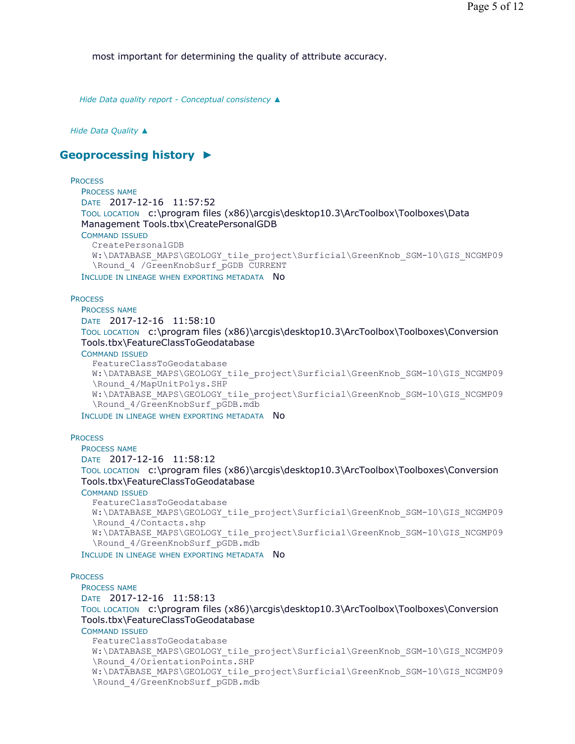most important for determining the quality of attribute accuracy.

*Hide Data quality report - Conceptual consistency ▲*

#### *Hide Data Quality ▲*

# **Geoprocessing history ►**

## **PROCESS**

```
PROCESS NAME
DATE 2017-12-16 11:57:52 
TOOL LOCATION c:\program files (x86)\arcgis\desktop10.3\ArcToolbox\Toolboxes\Data 
Management Tools.tbx\CreatePersonalGDB 
COMMAND ISSUED
  CreatePersonalGDB 
  W:\DATABASE_MAPS\GEOLOGY_tile_project\Surficial\GreenKnob_SGM-10\GIS_NCGMP09
  \Round_4 /GreenKnobSurf_pGDB CURRENT
```
INCLUDE IN LINEAGE WHEN EXPORTING METADATA NO

## **PROCESS**

PROCESS NAME DATE 2017-12-16 11:58:10 TOOL LOCATION c:\program files (x86)\arcgis\desktop10.3\ArcToolbox\Toolboxes\Conversion Tools.tbx\FeatureClassToGeodatabase

COMMAND ISSUED

```
FeatureClassToGeodatabase 
W:\DATABASE_MAPS\GEOLOGY_tile_project\Surficial\GreenKnob_SGM-10\GIS_NCGMP09
\Round_4/MapUnitPolys.SHP 
W:\DATABASE_MAPS\GEOLOGY_tile_project\Surficial\GreenKnob_SGM-10\GIS_NCGMP09
\Round_4/GreenKnobSurf_pGDB.mdb
```
INCLUDE IN LINEAGE WHEN EXPORTING METADATA NO

#### **PROCESS**

```
PROCESS NAME
DATE 2017-12-16 11:58:12 
TOOL LOCATION c:\program files (x86)\arcgis\desktop10.3\ArcToolbox\Toolboxes\Conversion 
Tools.tbx\FeatureClassToGeodatabase 
COMMAND ISSUED
  FeatureClassToGeodatabase 
  W:\DATABASE_MAPS\GEOLOGY_tile_project\Surficial\GreenKnob_SGM-10\GIS_NCGMP09
  \Round_4/Contacts.shp 
  W:\DATABASE_MAPS\GEOLOGY_tile_project\Surficial\GreenKnob_SGM-10\GIS_NCGMP09
  \Round_4/GreenKnobSurf_pGDB.mdb
```
INCLUDE IN LINEAGE WHEN EXPORTING METADATA NO

#### **PROCESS**

PROCESS NAME DATE 2017-12-16 11:58:13 TOOL LOCATION c:\program files (x86)\arcgis\desktop10.3\ArcToolbox\Toolboxes\Conversion Tools.tbx\FeatureClassToGeodatabase COMMAND ISSUED FeatureClassToGeodatabase W:\DATABASE\_MAPS\GEOLOGY\_tile\_project\Surficial\GreenKnob\_SGM-10\GIS\_NCGMP09 \Round\_4/OrientationPoints.SHP W:\DATABASE\_MAPS\GEOLOGY\_tile\_project\Surficial\GreenKnob\_SGM-10\GIS\_NCGMP09 \Round\_4/GreenKnobSurf\_pGDB.mdb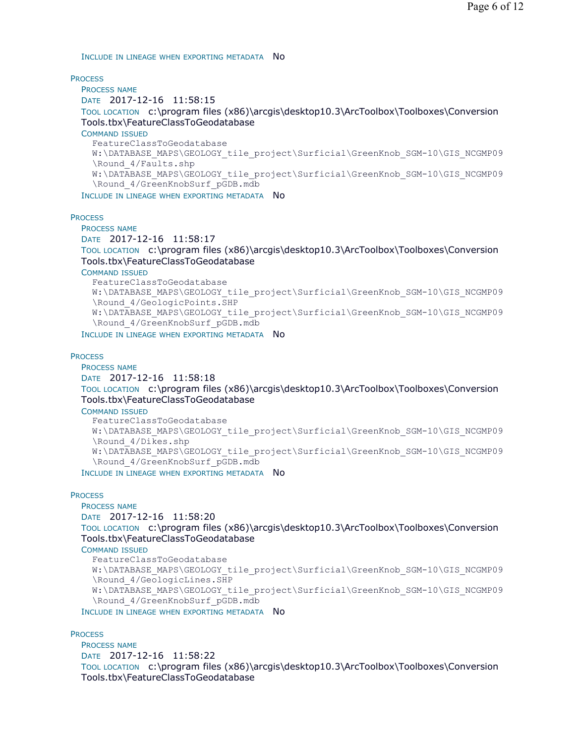INCLUDE IN LINEAGE WHEN EXPORTING METADATA NO

**PROCESS** 

PROCESS NAME DATE 2017-12-16 11:58:15 TOOL LOCATION c:\program files (x86)\arcgis\desktop10.3\ArcToolbox\Toolboxes\Conversion Tools.tbx\FeatureClassToGeodatabase COMMAND ISSUED FeatureClassToGeodatabase W:\DATABASE\_MAPS\GEOLOGY\_tile\_project\Surficial\GreenKnob\_SGM-10\GIS\_NCGMP09 \Round\_4/Faults.shp W:\DATABASE\_MAPS\GEOLOGY\_tile\_project\Surficial\GreenKnob\_SGM-10\GIS\_NCGMP09 \Round\_4/GreenKnobSurf\_pGDB.mdb

INCLUDE IN LINEAGE WHEN EXPORTING METADATA NO

### **PROCESS**

PROCESS NAME

DATE 2017-12-16 11:58:17

TOOL LOCATION c:\program files (x86)\arcgis\desktop10.3\ArcToolbox\Toolboxes\Conversion Tools.tbx\FeatureClassToGeodatabase

COMMAND ISSUED

```
FeatureClassToGeodatabase 
  W:\DATABASE_MAPS\GEOLOGY_tile_project\Surficial\GreenKnob_SGM-10\GIS_NCGMP09
  \Round_4/GeologicPoints.SHP 
  W:\DATABASE_MAPS\GEOLOGY_tile_project\Surficial\GreenKnob_SGM-10\GIS_NCGMP09
  \Round_4/GreenKnobSurf_pGDB.mdb
INCLUDE IN LINEAGE WHEN EXPORTING METADATA NO
```
**PROCESS** 

PROCESS NAME

```
DATE 2017-12-16 11:58:18
```
TOOL LOCATION c:\program files (x86)\arcgis\desktop10.3\ArcToolbox\Toolboxes\Conversion Tools.tbx\FeatureClassToGeodatabase

COMMAND ISSUED

FeatureClassToGeodatabase W:\DATABASE\_MAPS\GEOLOGY\_tile\_project\Surficial\GreenKnob\_SGM-10\GIS\_NCGMP09 \Round\_4/Dikes.shp W:\DATABASE\_MAPS\GEOLOGY\_tile\_project\Surficial\GreenKnob\_SGM-10\GIS\_NCGMP09 \Round\_4/GreenKnobSurf\_pGDB.mdb INCLUDE IN LINEAGE WHEN EXPORTING METADATA NO

**PROCESS** 

PROCESS NAME DATE 2017-12-16 11:58:20

TOOL LOCATION c:\program files (x86)\arcgis\desktop10.3\ArcToolbox\Toolboxes\Conversion Tools.tbx\FeatureClassToGeodatabase

COMMAND ISSUED

```
FeatureClassToGeodatabase 
W:\DATABASE_MAPS\GEOLOGY_tile_project\Surficial\GreenKnob_SGM-10\GIS_NCGMP09
\Round_4/GeologicLines.SHP 
W:\DATABASE_MAPS\GEOLOGY_tile_project\Surficial\GreenKnob_SGM-10\GIS_NCGMP09
\Round_4/GreenKnobSurf_pGDB.mdb
```
INCLUDE IN LINEAGE WHEN EXPORTING METADATA NO

**PROCESS** 

PROCESS NAME DATE 2017-12-16 11:58:22 TOOL LOCATION c:\program files (x86)\arcgis\desktop10.3\ArcToolbox\Toolboxes\Conversion Tools.tbx\FeatureClassToGeodatabase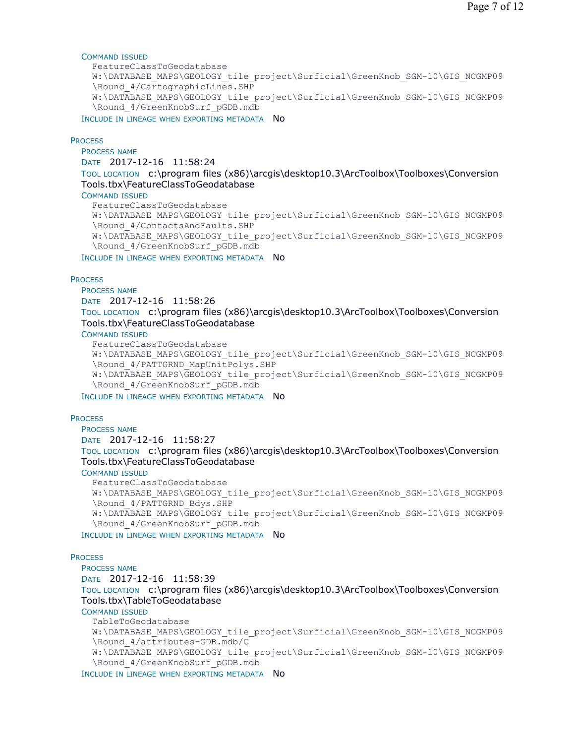## COMMAND ISSUED

```
FeatureClassToGeodatabase 
W:\DATABASE_MAPS\GEOLOGY_tile_project\Surficial\GreenKnob_SGM-10\GIS_NCGMP09
\Round_4/CartographicLines.SHP 
W:\DATABASE_MAPS\GEOLOGY_tile_project\Surficial\GreenKnob_SGM-10\GIS_NCGMP09
\Round_4/GreenKnobSurf_pGDB.mdb
```
INCLUDE IN LINEAGE WHEN EXPORTING METADATA NO

#### **PROCESS**

PROCESS NAME DATE 2017-12-16 11:58:24

TOOL LOCATION c:\program files (x86)\arcgis\desktop10.3\ArcToolbox\Toolboxes\Conversion Tools.tbx\FeatureClassToGeodatabase

## COMMAND ISSUED

FeatureClassToGeodatabase W:\DATABASE\_MAPS\GEOLOGY\_tile\_project\Surficial\GreenKnob\_SGM-10\GIS\_NCGMP09 \Round\_4/ContactsAndFaults.SHP W:\DATABASE\_MAPS\GEOLOGY\_tile\_project\Surficial\GreenKnob\_SGM-10\GIS\_NCGMP09 \Round\_4/GreenKnobSurf\_pGDB.mdb

INCLUDE IN LINEAGE WHEN EXPORTING METADATA NO

#### **PROCESS**

PROCESS NAME

DATE 2017-12-16 11:58:26

TOOL LOCATION c:\program files (x86)\arcgis\desktop10.3\ArcToolbox\Toolboxes\Conversion Tools.tbx\FeatureClassToGeodatabase

COMMAND ISSUED

```
FeatureClassToGeodatabase 
W:\DATABASE_MAPS\GEOLOGY_tile_project\Surficial\GreenKnob_SGM-10\GIS_NCGMP09
\Round_4/PATTGRND_MapUnitPolys.SHP 
W:\DATABASE_MAPS\GEOLOGY_tile_project\Surficial\GreenKnob_SGM-10\GIS_NCGMP09
\Round_4/GreenKnobSurf_pGDB.mdb
```
INCLUDE IN LINEAGE WHEN EXPORTING METADATA NO

### **PROCESS**

PROCESS NAME DATE 2017-12-16 11:58:27 TOOL LOCATION c:\program files (x86)\arcgis\desktop10.3\ArcToolbox\Toolboxes\Conversion Tools.tbx\FeatureClassToGeodatabase

COMMAND ISSUED

FeatureClassToGeodatabase W:\DATABASE\_MAPS\GEOLOGY\_tile\_project\Surficial\GreenKnob\_SGM-10\GIS\_NCGMP09 \Round\_4/PATTGRND\_Bdys.SHP W:\DATABASE\_MAPS\GEOLOGY\_tile\_project\Surficial\GreenKnob\_SGM-10\GIS\_NCGMP09 \Round\_4/GreenKnobSurf\_pGDB.mdb

INCLUDE IN LINEAGE WHEN EXPORTING METADATA NO

## **PROCESS**

PROCESS NAME

DATE 2017-12-16 11:58:39

TOOL LOCATION c:\program files (x86)\arcgis\desktop10.3\ArcToolbox\Toolboxes\Conversion Tools.tbx\TableToGeodatabase

## COMMAND ISSUED

TableToGeodatabase W:\DATABASE\_MAPS\GEOLOGY\_tile\_project\Surficial\GreenKnob\_SGM-10\GIS\_NCGMP09 \Round\_4/attributes-GDB.mdb/C W:\DATABASE\_MAPS\GEOLOGY\_tile\_project\Surficial\GreenKnob\_SGM-10\GIS\_NCGMP09 \Round\_4/GreenKnobSurf\_pGDB.mdb

INCLUDE IN LINEAGE WHEN EXPORTING METADATA NO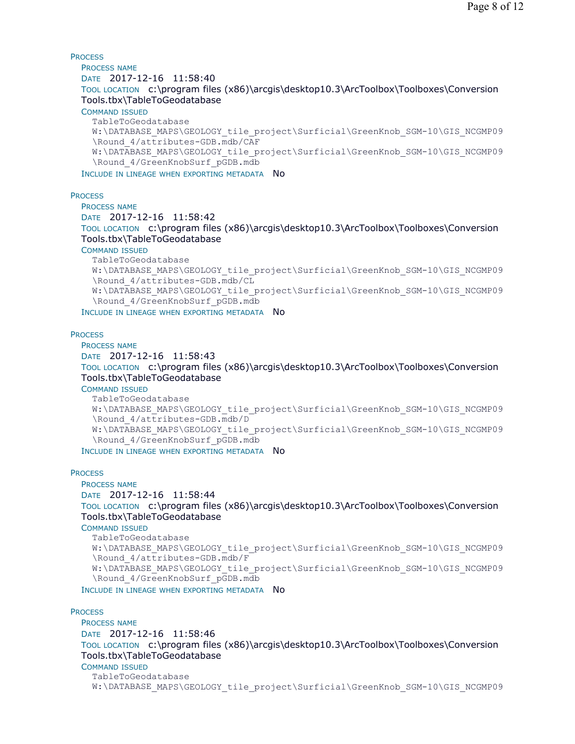**PROCESS** PROCESS NAME DATE 2017-12-16 11:58:40 TOOL LOCATION c:\program files (x86)\arcgis\desktop10.3\ArcToolbox\Toolboxes\Conversion Tools.tbx\TableToGeodatabase COMMAND ISSUED TableToGeodatabase W:\DATABASE\_MAPS\GEOLOGY\_tile\_project\Surficial\GreenKnob\_SGM-10\GIS\_NCGMP09 \Round\_4/attributes-GDB.mdb/CAF W:\DATABASE\_MAPS\GEOLOGY\_tile\_project\Surficial\GreenKnob\_SGM-10\GIS\_NCGMP09 \Round\_4/GreenKnobSurf\_pGDB.mdb INCLUDE IN LINEAGE WHEN EXPORTING METADATA NO

**PROCESS** 

PROCESS NAME DATE 2017-12-16 11:58:42 TOOL LOCATION c:\program files (x86)\arcgis\desktop10.3\ArcToolbox\Toolboxes\Conversion Tools.tbx\TableToGeodatabase COMMAND ISSUED TableToGeodatabase W:\DATABASE\_MAPS\GEOLOGY\_tile\_project\Surficial\GreenKnob\_SGM-10\GIS\_NCGMP09 \Round\_4/attributes-GDB.mdb/CL

W:\DATABASE\_MAPS\GEOLOGY\_tile\_project\Surficial\GreenKnob\_SGM-10\GIS\_NCGMP09 \Round\_4/GreenKnobSurf\_pGDB.mdb

INCLUDE IN LINEAGE WHEN EXPORTING METADATA NO

### **PROCESS**

PROCESS NAME DATE 2017-12-16 11:58:43 TOOL LOCATION c:\program files (x86)\arcgis\desktop10.3\ArcToolbox\Toolboxes\Conversion Tools.tbx\TableToGeodatabase

COMMAND ISSUED

TableToGeodatabase W:\DATABASE\_MAPS\GEOLOGY\_tile\_project\Surficial\GreenKnob\_SGM-10\GIS\_NCGMP09 \Round\_4/attributes-GDB.mdb/D W:\DATABASE\_MAPS\GEOLOGY\_tile\_project\Surficial\GreenKnob\_SGM-10\GIS\_NCGMP09 \Round\_4/GreenKnobSurf\_pGDB.mdb

INCLUDE IN LINEAGE WHEN EXPORTING METADATA NO

**PROCESS** 

PROCESS NAME DATE 2017-12-16 11:58:44 TOOL LOCATION c:\program files (x86)\arcgis\desktop10.3\ArcToolbox\Toolboxes\Conversion Tools.tbx\TableToGeodatabase

COMMAND ISSUED

TableToGeodatabase W:\DATABASE\_MAPS\GEOLOGY\_tile\_project\Surficial\GreenKnob\_SGM-10\GIS\_NCGMP09 \Round\_4/attributes-GDB.mdb/F W:\DATABASE\_MAPS\GEOLOGY\_tile\_project\Surficial\GreenKnob\_SGM-10\GIS\_NCGMP09 \Round\_4/GreenKnobSurf\_pGDB.mdb INCLUDE IN LINEAGE WHEN EXPORTING METADATA NO

**PROCESS** 

PROCESS NAME DATE 2017-12-16 11:58:46 TOOL LOCATION c:\program files (x86)\arcgis\desktop10.3\ArcToolbox\Toolboxes\Conversion Tools.tbx\TableToGeodatabase COMMAND ISSUED TableToGeodatabase

W:\DATABASE\_MAPS\GEOLOGY\_tile\_project\Surficial\GreenKnob\_SGM-10\GIS\_NCGMP09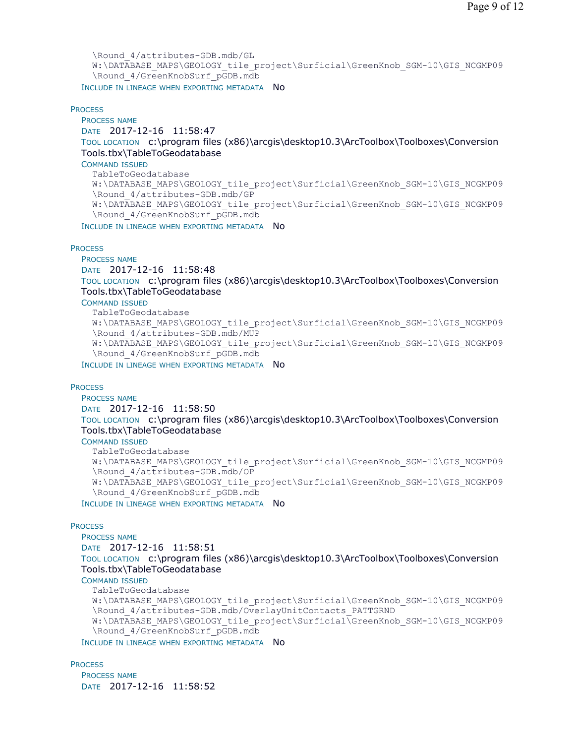```
\Round_4/attributes-GDB.mdb/GL 
  W:\DATABASE_MAPS\GEOLOGY_tile_project\Surficial\GreenKnob_SGM-10\GIS_NCGMP09
  \Round_4/GreenKnobSurf_pGDB.mdb
INCLUDE IN LINEAGE WHEN EXPORTING METADATA NO
```
### **PROCESS**

```
PROCESS NAME
DATE 2017-12-16 11:58:47 
TOOL LOCATION c:\program files (x86)\arcgis\desktop10.3\ArcToolbox\Toolboxes\Conversion 
Tools.tbx\TableToGeodatabase 
COMMAND ISSUED
  TableToGeodatabase 
  W:\DATABASE_MAPS\GEOLOGY_tile_project\Surficial\GreenKnob_SGM-10\GIS_NCGMP09
  \Round_4/attributes-GDB.mdb/GP 
  W:\DATABASE_MAPS\GEOLOGY_tile_project\Surficial\GreenKnob_SGM-10\GIS_NCGMP09
  \Round_4/GreenKnobSurf_pGDB.mdb
INCLUDE IN LINEAGE WHEN EXPORTING METADATA NO
```
#### **PROCESS**

PROCESS NAME

DATE 2017-12-16 11:58:48

TOOL LOCATION c:\program files (x86)\arcgis\desktop10.3\ArcToolbox\Toolboxes\Conversion Tools.tbx\TableToGeodatabase

COMMAND ISSUED

```
TableToGeodatabase 
 W:\DATABASE_MAPS\GEOLOGY_tile_project\Surficial\GreenKnob_SGM-10\GIS_NCGMP09
  \Round_4/attributes-GDB.mdb/MUP 
 W:\DATABASE_MAPS\GEOLOGY_tile_project\Surficial\GreenKnob_SGM-10\GIS_NCGMP09
  \Round_4/GreenKnobSurf_pGDB.mdb
INCLUDE IN LINEAGE WHEN EXPORTING METADATA NO
```
### **PROCESS**

PROCESS NAME

DATE 2017-12-16 11:58:50

TOOL LOCATION c:\program files (x86)\arcgis\desktop10.3\ArcToolbox\Toolboxes\Conversion Tools.tbx\TableToGeodatabase

COMMAND ISSUED

TableToGeodatabase W:\DATABASE\_MAPS\GEOLOGY\_tile\_project\Surficial\GreenKnob\_SGM-10\GIS\_NCGMP09 \Round\_4/attributes-GDB.mdb/OP W:\DATABASE\_MAPS\GEOLOGY\_tile\_project\Surficial\GreenKnob\_SGM-10\GIS\_NCGMP09 \Round\_4/GreenKnobSurf\_pGDB.mdb

INCLUDE IN LINEAGE WHEN EXPORTING METADATA NO

## **PROCESS**

PROCESS NAME DATE 2017-12-16 11:58:51 TOOL LOCATION c:\program files (x86)\arcgis\desktop10.3\ArcToolbox\Toolboxes\Conversion Tools.tbx\TableToGeodatabase COMMAND ISSUED TableToGeodatabase

W:\DATABASE\_MAPS\GEOLOGY\_tile\_project\Surficial\GreenKnob\_SGM-10\GIS\_NCGMP09 \Round\_4/attributes-GDB.mdb/OverlayUnitContacts\_PATTGRND W:\DATABASE\_MAPS\GEOLOGY\_tile\_project\Surficial\GreenKnob\_SGM-10\GIS\_NCGMP09 \Round\_4/GreenKnobSurf\_pGDB.mdb INCLUDE IN LINEAGE WHEN EXPORTING METADATA NO

**PROCESS** 

PROCESS NAME DATE 2017-12-16 11:58:52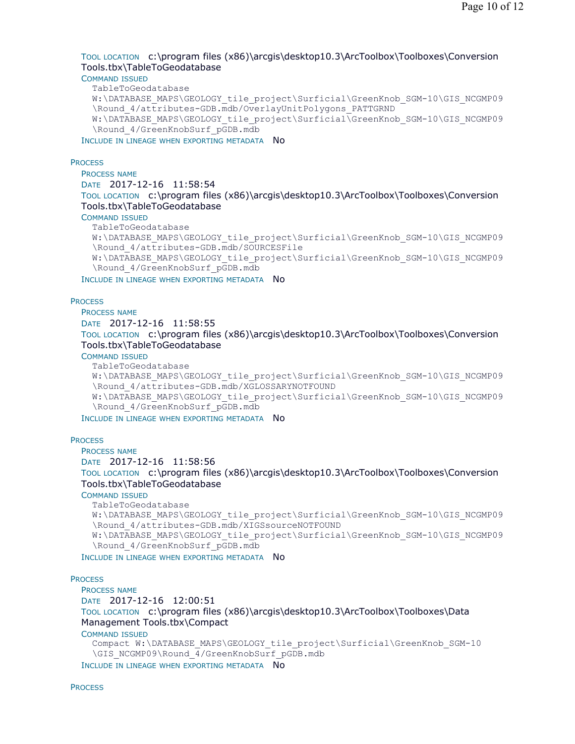# TOOL LOCATION c:\program files (x86)\arcgis\desktop10.3\ArcToolbox\Toolboxes\Conversion Tools.tbx\TableToGeodatabase

### COMMAND ISSUED

TableToGeodatabase

```
W:\DATABASE_MAPS\GEOLOGY_tile_project\Surficial\GreenKnob_SGM-10\GIS_NCGMP09
\Round_4/attributes-GDB.mdb/OverlayUnitPolygons_PATTGRND 
W:\DATABASE_MAPS\GEOLOGY_tile_project\Surficial\GreenKnob_SGM-10\GIS_NCGMP09
\Round_4/GreenKnobSurf_pGDB.mdb
```
INCLUDE IN LINEAGE WHEN EXPORTING METADATA NO

### **PROCESS**

PROCESS NAME DATE 2017-12-16 11:58:54 TOOL LOCATION c:\program files (x86)\arcgis\desktop10.3\ArcToolbox\Toolboxes\Conversion Tools.tbx\TableToGeodatabase

## COMMAND ISSUED

TableToGeodatabase

W:\DATABASE\_MAPS\GEOLOGY\_tile\_project\Surficial\GreenKnob\_SGM-10\GIS\_NCGMP09 \Round\_4/attributes-GDB.mdb/SOURCESFile W:\DATABASE\_MAPS\GEOLOGY\_tile\_project\Surficial\GreenKnob\_SGM-10\GIS\_NCGMP09

\Round\_4/GreenKnobSurf\_pGDB.mdb

INCLUDE IN LINEAGE WHEN EXPORTING METADATA NO

## **PROCESS**

PROCESS NAME DATE 2017-12-16 11:58:55 TOOL LOCATION c:\program files (x86)\arcgis\desktop10.3\ArcToolbox\Toolboxes\Conversion Tools.tbx\TableToGeodatabase

### COMMAND ISSUED

TableToGeodatabase

```
W:\DATABASE_MAPS\GEOLOGY_tile_project\Surficial\GreenKnob_SGM-10\GIS_NCGMP09
\Round_4/attributes-GDB.mdb/XGLOSSARYNOTFOUND 
W:\DATABASE_MAPS\GEOLOGY_tile_project\Surficial\GreenKnob_SGM-10\GIS_NCGMP09
\Round_4/GreenKnobSurf_pGDB.mdb
```
INCLUDE IN LINEAGE WHEN EXPORTING METADATA NO

## **PROCESS**

PROCESS NAME DATE 2017-12-16 11:58:56 TOOL LOCATION c:\program files (x86)\arcgis\desktop10.3\ArcToolbox\Toolboxes\Conversion Tools.tbx\TableToGeodatabase COMMAND ISSUED TableToGeodatabase

W:\DATABASE\_MAPS\GEOLOGY\_tile\_project\Surficial\GreenKnob\_SGM-10\GIS\_NCGMP09 \Round\_4/attributes-GDB.mdb/XIGSsourceNOTFOUND W:\DATABASE\_MAPS\GEOLOGY\_tile\_project\Surficial\GreenKnob\_SGM-10\GIS\_NCGMP09 \Round\_4/GreenKnobSurf\_pGDB.mdb

INCLUDE IN LINEAGE WHEN EXPORTING METADATA NO

## **PROCESS**

PROCESS NAME DATE 2017-12-16 12:00:51 TOOL LOCATION c:\program files (x86)\arcgis\desktop10.3\ArcToolbox\Toolboxes\Data Management Tools.tbx\Compact COMMAND ISSUED Compact W:\DATABASE\_MAPS\GEOLOGY\_tile\_project\Surficial\GreenKnob\_SGM-10 \GIS\_NCGMP09\Round\_4/GreenKnobSurf\_pGDB.mdb

INCLUDE IN LINEAGE WHEN EXPORTING METADATA NO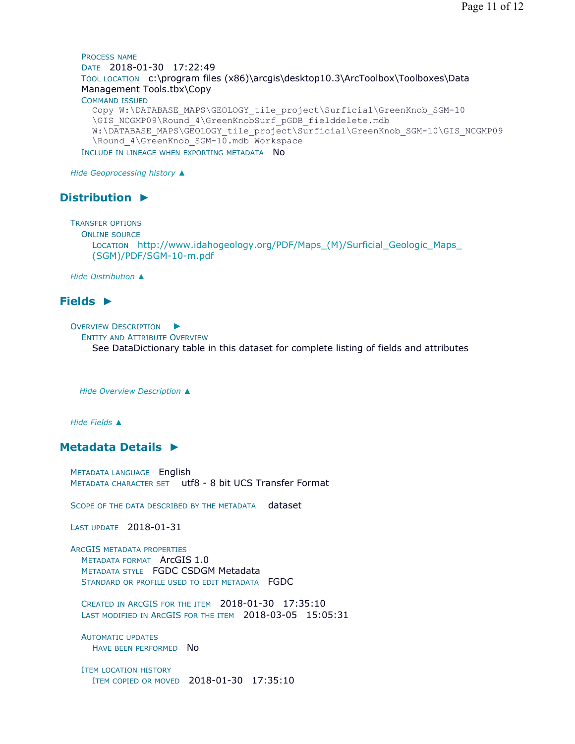Page 11 of 12

PROCESS NAME DATE 2018-01-30 17:22:49 TOOL LOCATION c:\program files (x86)\arcgis\desktop10.3\ArcToolbox\Toolboxes\Data Management Tools.tbx\Copy COMMAND ISSUED Copy W:\DATABASE\_MAPS\GEOLOGY\_tile\_project\Surficial\GreenKnob\_SGM-10 \GIS\_NCGMP09\Round\_4\GreenKnobSurf\_pGDB\_fielddelete.mdb W:\DATABASE\_MAPS\GEOLOGY\_tile\_project\Surficial\GreenKnob\_SGM-10\GIS\_NCGMP09 \Round\_4\GreenKnob\_SGM-10.mdb Workspace INCLUDE IN LINEAGE WHEN EXPORTING METADATA NO

*Hide Geoprocessing history ▲*

# **Distribution ►**

TRANSFER OPTIONS

ONLINE SOURCE

LOCATION http://www.idahogeology.org/PDF/Maps (M)/Surficial Geologic Maps (SGM)/PDF/SGM-10-m.pdf

*Hide Distribution ▲*

# **Fields ►**

OVERVIEW DESCRIPTION ►

ENTITY AND ATTRIBUTE OVERVIEW

See DataDictionary table in this dataset for complete listing of fields and attributes

*Hide Overview Description ▲*

*Hide Fields ▲*

# **Metadata Details ►**

METADATA LANGUAGE English METADATA CHARACTER SET utf8 - 8 bit UCS Transfer Format

SCOPE OF THE DATA DESCRIBED BY THE METADATA dataset

LAST UPDATE 2018-01-31

ARCGIS METADATA PROPERTIES METADATA FORMAT ArcGIS 1.0 METADATA STYLE FGDC CSDGM Metadata STANDARD OR PROFILE USED TO EDIT METADATA FGDC

CREATED IN ARCGIS FOR THE ITEM 2018-01-30 17:35:10 LAST MODIFIED IN ARCGIS FOR THE ITEM 2018-03-05 15:05:31

AUTOMATIC UPDATES HAVE BEEN PERFORMED NO

ITEM LOCATION HISTORY ITEM COPIED OR MOVED 2018-01-30 17:35:10